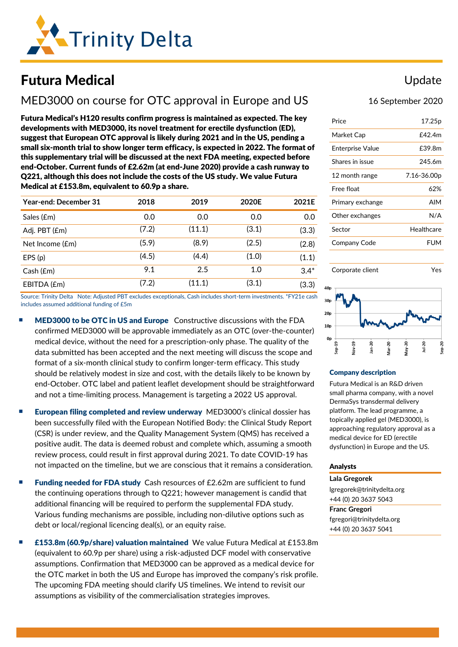

# Futura Medical

# MED3000 on course for OTC approval in Europe and US

Futura Medical's H120 results confirm progress is maintained as expected. The key developments with MED3000, its novel treatment for erectile dysfunction (ED), suggest that European OTC approval is likely during 2021 and in the US, pending a small six-month trial to show longer term efficacy, is expected in 2022. The format of this supplementary trial will be discussed at the next FDA meeting, expected before end-October. Current funds of £2.62m (at end-June 2020) provide a cash runway to Q221, although this does not include the costs of the US study. We value Futura Medical at £153.8m, equivalent to 60.9p a share.

| <b>Year-end: December 31</b> | 2018  | 2019   | 2020E | 2021E  |
|------------------------------|-------|--------|-------|--------|
| Sales (£m)                   | 0.0   | 0.0    | 0.0   | 0.0    |
| Adj. PBT (£m)                | (7.2) | (11.1) | (3.1) | (3.3)  |
| Net Income (£m)              | (5.9) | (8.9)  | (2.5) | (2.8)  |
| EPS(p)                       | (4.5) | (4.4)  | (1.0) | (1.1)  |
| Cash(fm)                     | 9.1   | 2.5    | 1.0   | $3.4*$ |
| EBITDA (£m)                  | (7.2) | (11.1) | (3.1) | (3.3)  |

Source: Trinity Delta Note: Adjusted PBT excludes exceptionals, Cash includes short-term investments. \*FY21e cash includes assumed additional funding of £5m

- **MED3000 to be OTC in US and Europe** Constructive discussions with the FDA confirmed MED3000 will be approvable immediately as an OTC (over-the-counter) medical device, without the need for a prescription-only phase. The quality of the data submitted has been accepted and the next meeting will discuss the scope and format of a six-month clinical study to confirm longer-term efficacy. This study should be relatively modest in size and cost, with the details likely to be known by end-October. OTC label and patient leaflet development should be straightforward and not a time-limiting process. Management is targeting a 2022 US approval.
- European filing completed and review underway MED3000's clinical dossier has been successfully filed with the European Notified Body: the Clinical Study Report (CSR) is under review, and the Quality Management System (QMS) has received a positive audit. The data is deemed robust and complete which, assuming a smooth review process, could result in first approval during 2021. To date COVID-19 has not impacted on the timeline, but we are conscious that it remains a consideration.
- Funding needed for FDA study Cash resources of £2.62m are sufficient to fund the continuing operations through to Q221; however management is candid that additional financing will be required to perform the supplemental FDA study. Various funding mechanisms are possible, including non-dilutive options such as debt or local/regional licencing deal(s), or an equity raise.
- £153.8m (60.9p/share) valuation maintained We value Futura Medical at £153.8m (equivalent to 60.9p per share) using a risk-adjusted DCF model with conservative assumptions. Confirmation that MED3000 can be approved as a medical device for the OTC market in both the US and Europe has improved the company's risk profile. The upcoming FDA meeting should clarify US timelines. We intend to revisit our assumptions as visibility of the commercialisation strategies improves.

## Update

### 16 September 2020

| Price            | 17.25p      |
|------------------|-------------|
| Market Cap       | £42.4m      |
| Enterprise Value | £39.8m      |
| Shares in issue  | 245.6m      |
| 12 month range   | 7.16-36.00p |
| Free float       | 62%         |
| Primary exchange | <b>AIM</b>  |
| Other exchanges  | N/A         |
| Sector           | Healthcare  |
| Company Code     | <b>FUM</b>  |
|                  |             |





#### Company description

Futura Medical is an R&D driven small pharma company, with a novel DermaSys transdermal delivery platform. The lead programme, a topically applied gel (MED3000), is approaching regulatory approval as a medical device for ED (erectile dysfunction) in Europe and the US.

#### Analysts

**Lala Gregorek** [lgregorek@trinitydelta.org](mailto:lgregorek@trinitydelta.org) +44 (0) 20 3637 5043

**Franc Gregori** [fgregori@trinitydelta.org](mailto:fgregori@trinitydelta.org) +44 (0) 20 3637 5041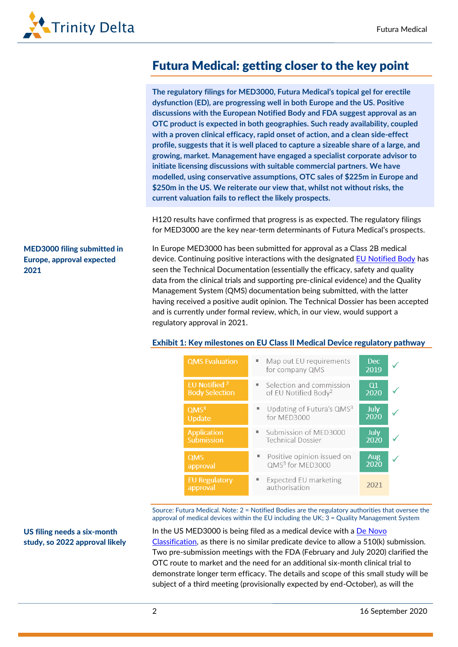

# Futura Medical: getting closer to the key point

**The regulatory filings for MED3000, Futura Medical's topical gel for erectile dysfunction (ED), are progressing well in both Europe and the US. Positive discussions with the European Notified Body and FDA suggest approval as an OTC product is expected in both geographies. Such ready availability, coupled with a proven clinical efficacy, rapid onset of action, and a clean side-effect profile, suggests that it is well placed to capture a sizeable share of a large, and growing, market. Management have engaged a specialist corporate advisor to initiate licensing discussions with suitable commercial partners. We have modelled, using conservative assumptions, OTC sales of \$225m in Europe and \$250m in the US. We reiterate our view that, whilst not without risks, the current valuation fails to reflect the likely prospects.**

H120 results have confirmed that progress is as expected. The regulatory filings for MED3000 are the key near-term determinants of Futura Medical's prospects.

MED3000 filing submitted in Europe, approval expected 2021

In Europe MED3000 has been submitted for approval as a Class 2B medical device. Continuing positive interactions with the designated [EU Notified Body](https://ec.europa.eu/growth/single-market/goods/building-blocks/notified-bodies_en) has seen the Technical Documentation (essentially the efficacy, safety and quality data from the clinical trials and supporting pre-clinical evidence) and the Quality Management System (QMS) documentation being submitted, with the latter having received a positive audit opinion. The Technical Dossier has been accepted and is currently under formal review, which, in our view, would support a regulatory approval in 2021.

#### Exhibit 1: Key milestones on EU Class II Medical Device regulatory pathway

| <b>QMS</b> Evaluation                             | Map out EU requirements<br>for company QMS                   | <b>Dec</b><br>2019  |  |
|---------------------------------------------------|--------------------------------------------------------------|---------------------|--|
| EU Notified <sup>2</sup><br><b>Body Selection</b> | Selection and commission<br>of EU Notified Body <sup>2</sup> | Q1<br>2020          |  |
| QMS <sup>3</sup><br>Update                        | Updating of Futura's QMS3<br>for MED3000                     | July<br>2020        |  |
| <b>Application</b><br>Submission                  | Submission of MED3000<br><b>Technical Dossier</b>            | <b>July</b><br>2020 |  |
| <b>QMS</b><br>approval                            | Positive opinion issued on<br>QMS <sup>3</sup> for MED3000   | Aug<br>2020         |  |
| <b>EU Regulatory</b><br>approval                  | Expected EU marketing<br>authorisation                       | 2021                |  |

Source: Futura Medical. Note: 2 = Notified Bodies are the regulatory authorities that oversee the approval of medical devices within the EU including the UK; 3 = Quality Management System

US filing needs a six-month study, so 2022 approval likely

In the US MED3000 is being filed as a medical device with a De Novo [Classification,](https://www.fda.gov/medical-devices/premarket-submissions/de-novo-classification-request) as there is no similar predicate device to allow a 510(k) submission. Two pre-submission meetings with the FDA (February and July 2020) clarified the OTC route to market and the need for an additional six-month clinical trial to demonstrate longer term efficacy. The details and scope of this small study will be subject of a third meeting (provisionally expected by end-October), as will the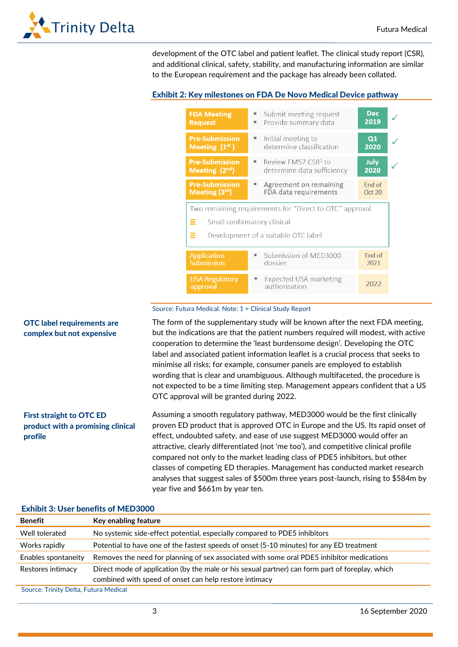

development of the OTC label and patient leaflet. The clinical study report (CSR), and additional clinical, safety, stability, and manufacturing information are similar to the European requirement and the package has already been collated.

### Exhibit 2: Key milestones on FDA De Novo Medical Device pathway

| <b>FDA Meeting</b><br><b>Request</b>     | Submit meeting request<br>Provide summary data<br>Е                                                                           | <b>Dec</b><br>2019 |  |
|------------------------------------------|-------------------------------------------------------------------------------------------------------------------------------|--------------------|--|
| <b>Pre-Submission</b><br>Meeting $(1st)$ | Initial meeting to<br>٠<br>determine classification                                                                           | Q1<br>2020         |  |
| <b>Pre-Submission</b><br>Meeting $(2nd)$ | Review FM57 CSR <sup>1</sup> to<br>ш<br>determine data sufficiency                                                            | July<br>2020       |  |
| <b>Pre-Submission</b><br>Meeting (3rd)   | Agreement on remaining<br>FDA data requirements                                                                               | End of<br>Oct 20   |  |
|                                          |                                                                                                                               |                    |  |
| ≡<br>Ξ                                   | Two remaining requirements for "Direct to OTC" approval<br>Small confirmatory clinical<br>Development of a suitable OTC label |                    |  |
| <b>Application</b><br>Submission         | Submission of MED3000<br>dossier                                                                                              | End of<br>2021     |  |

#### Source: Futura Medical. Note: 1 = Clinical Study Report

The form of the supplementary study will be known after the next FDA meeting, but the indications are that the patient numbers required will modest, with active cooperation to determine the 'least burdensome design'. Developing the OTC label and associated patient information leaflet is a crucial process that seeks to minimise all risks; for example, consumer panels are employed to establish wording that is clear and unambiguous. Although multifaceted, the procedure is not expected to be a time limiting step. Management appears confident that a US OTC approval will be granted during 2022.

Assuming a smooth regulatory pathway, MED3000 would be the first clinically proven ED product that is approved OTC in Europe and the US. Its rapid onset of effect, undoubted safety, and ease of use suggest MED3000 would offer an attractive, clearly differentiated (not 'me too'), and competitive clinical profile compared not only to the market leading class of PDE5 inhibitors, but other classes of competing ED therapies. Management has conducted market research analyses that suggest sales of \$500m three years post-launch, rising to \$584m by year five and \$661m by year ten. First straight to OTC ED product with a promising clinical profile

| LAHUL 9. 9361 BGIKIRS 91 MEDOOD |                                                                                                 |
|---------------------------------|-------------------------------------------------------------------------------------------------|
| <b>Benefit</b>                  | Key enabling feature                                                                            |
| Well tolerated                  | No systemic side-effect potential, especially compared to PDE5 inhibitors                       |
| Works rapidly                   | Potential to have one of the fastest speeds of onset (5-10 minutes) for any ED treatment        |
| Enables spontaneity             | Removes the need for planning of sex associated with some oral PDE5 inhibitor medications       |
| Restores intimacy               | Direct mode of application (by the male or his sexual partner) can form part of foreplay, which |
|                                 | combined with speed of onset can help restore intimacy                                          |
|                                 |                                                                                                 |

#### Exhibit 3: User benefits of MED3000

OTC label requirements are complex but not expensive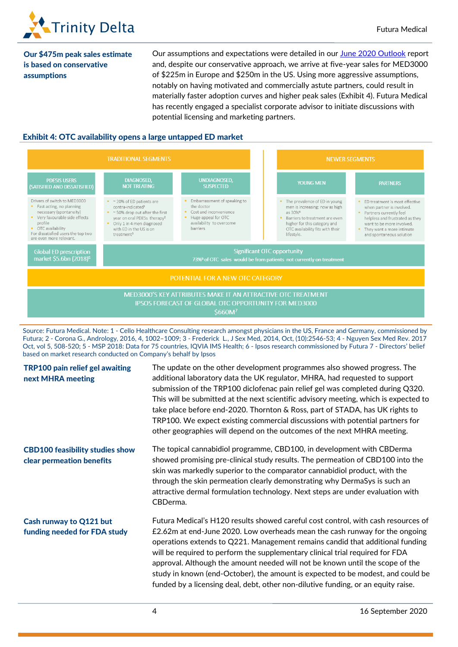

Our \$475m peak sales estimate is based on conservative assumptions

Our assumptions and expectations were detailed in our [June 2020 Outlook](https://www.trinitydelta.org/research-notes/nearing-the-critical-point-in-erectile-dysfunction/) report and, despite our conservative approach, we arrive at five-year sales for MED3000 of \$225m in Europe and \$250m in the US. Using more aggressive assumptions, notably on having motivated and commercially astute partners, could result in materially faster adoption curves and higher peak sales (Exhibit 4). Futura Medical has recently engaged a specialist corporate advisor to initiate discussions with potential licensing and marketing partners.

### Exhibit 4: OTC availability opens a large untapped ED market



Source: Futura Medical. Note: 1 - Cello Healthcare Consulting research amongst physicians in the US, France and Germany, commissioned by Futura; 2 - Corona G., Andrology, 2016, 4, 1002–1009; 3 - Frederick L., J Sex Med, 2014, Oct, (10):2546-53; 4 - Nguyen Sex Med Rev. 2017 Oct, vol 5, 508-520; 5 - MSP 2018: Data for 75 countries, IQVIA IMS Health; 6 - Ipsos research commissioned by Futura 7 - Directors' belief based on market research conducted on Company's behalf by Ipsos

| <b>TRP100 pain relief gel awaiting</b><br>next MHRA meeting         | The update on the other development programmes also showed progress. The<br>additional laboratory data the UK regulator, MHRA, had requested to support<br>submission of the TRP100 diclofenac pain relief gel was completed during Q320.<br>This will be submitted at the next scientific advisory meeting, which is expected to<br>take place before end-2020. Thornton & Ross, part of STADA, has UK rights to<br>TRP100. We expect existing commercial discussions with potential partners for<br>other geographies will depend on the outcomes of the next MHRA meeting.               |
|---------------------------------------------------------------------|---------------------------------------------------------------------------------------------------------------------------------------------------------------------------------------------------------------------------------------------------------------------------------------------------------------------------------------------------------------------------------------------------------------------------------------------------------------------------------------------------------------------------------------------------------------------------------------------|
| <b>CBD100 feasibility studies show</b><br>clear permeation benefits | The topical cannabidiol programme, CBD100, in development with CBDerma<br>showed promising pre-clinical study results. The permeation of CBD100 into the<br>skin was markedly superior to the comparator cannabidiol product, with the<br>through the skin permeation clearly demonstrating why DermaSys is such an<br>attractive dermal formulation technology. Next steps are under evaluation with<br>CBDerma.                                                                                                                                                                           |
| Cash runway to Q121 but<br>funding needed for FDA study             | Futura Medical's H120 results showed careful cost control, with cash resources of<br>£2.62m at end-June 2020. Low overheads mean the cash runway for the ongoing<br>operations extends to Q221. Management remains candid that additional funding<br>will be required to perform the supplementary clinical trial required for FDA<br>approval. Although the amount needed will not be known until the scope of the<br>study in known (end-October), the amount is expected to be modest, and could be<br>funded by a licensing deal, debt, other non-dilutive funding, or an equity raise. |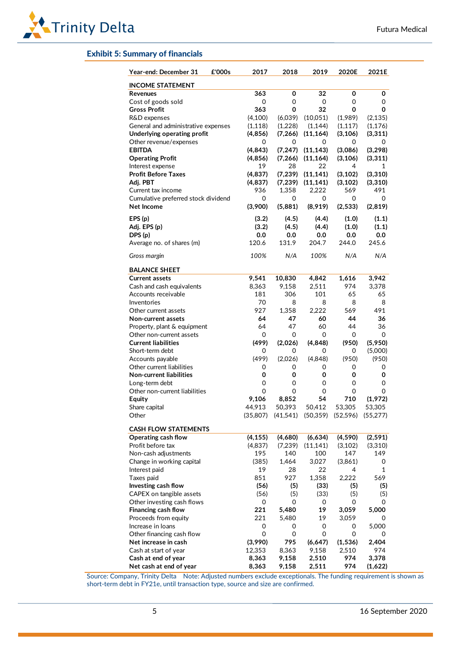#### Exhibit 5: Summary of financials

| Year-end: December 31<br>£'000s     | 2017     | 2018     | 2019                                | 2020E    | 2021E    |
|-------------------------------------|----------|----------|-------------------------------------|----------|----------|
| <b>INCOME STATEMENT</b>             |          |          |                                     |          |          |
| Revenues                            | 363      | 0        | 32                                  | 0        | 0        |
| Cost of goods sold                  | 0        | 0        | 0                                   | 0        | 0        |
| <b>Gross Profit</b>                 | 363      | 0        | 32                                  | 0        | 0        |
| R&D expenses                        | (4, 100) | (6,039)  | (10,051)                            | (1,989)  | (2, 135) |
| General and administrative expenses | (1, 118) | (1,228)  | (1, 144)                            | (1, 117) | (1, 176) |
| Underlying operating profit         | (4, 856) | (7, 266) | (11, 164)                           | (3, 106) | (3, 311) |
| Other revenue/expenses              | 0        | 0        | 0                                   | 0        | 0        |
| <b>EBITDA</b>                       | (4, 843) | (7, 247) | (11, 143)                           | (3,086)  | (3, 298) |
| <b>Operating Profit</b>             | (4, 856) | (7, 266) | (11, 164)                           | (3, 106) | (3, 311) |
| Interest expense                    | 19       | 28       | 22                                  | 4        | 1        |
| <b>Profit Before Taxes</b>          | (4, 837) | (7, 239) | (11, 141)                           | (3, 102) | (3, 310) |
| Adj. PBT                            | (4, 837) | (7, 239) | (11, 141)                           | (3, 102) | (3,310)  |
| Current tax income                  | 936      | 1,358    | 2,222                               | 569      | 491      |
| Cumulative preferred stock dividend | 0        | 0        | 0                                   | 0        | 0        |
| Net Income                          | (3,900)  | (5,881)  | (8,919)                             | (2, 533) | (2,819)  |
| EPS(p)                              | (3.2)    | (4.5)    | (4.4)                               | (1.0)    | (1.1)    |
| Adj. EPS (p)                        | (3.2)    | (4.5)    | (4.4)                               | (1.0)    | (1.1)    |
| DPS(p)                              | 0.0      | 0.0      | 0.0                                 | 0.0      | 0.0      |
| Average no. of shares (m)           | 120.6    | 131.9    | 204.7                               | 244.0    | 245.6    |
| Gross margin                        | 100%     | N/A      | 100%                                | N/A      | N/A      |
| <b>BALANCE SHEET</b>                |          |          |                                     |          |          |
| <b>Current assets</b>               | 9,541    | 10,830   | 4,842                               | 1,616    | 3,942    |
| Cash and cash equivalents           | 8,363    | 9.158    | 2,511                               | 974      | 3,378    |
| Accounts receivable                 | 181      | 306      | 101                                 | 65       | 65       |
| Inventories                         | 70       | 8        | 8                                   | 8        | 8        |
| Other current assets                | 927      | 1,358    | 2,222                               | 569      | 491      |
| Non-current assets                  | 64       | 47       | 60                                  | 44       | 36       |
| Property, plant & equipment         | 64       | 47       | 60                                  | 44       | 36       |
| Other non-current assets            | 0        | 0        | 0                                   | 0        | 0        |
| <b>Current liabilities</b>          | (499)    | (2,026)  | (4, 848)                            | (950)    | (5,950)  |
| Short-term debt                     | 0        | 0        | 0                                   | 0        | (5,000)  |
| Accounts payable                    | (499)    | (2,026)  | (4,848)                             | (950)    | (950)    |
| Other current liabilities           | 0        | 0        | 0                                   | 0        | 0        |
| <b>Non-current liabilities</b>      | 0        | 0        | 0                                   | 0        | 0        |
| Long-term debt                      | 0        | 0        | 0                                   | 0        | 0        |
| Other non-current liabilities       | 0        | 0        | 0                                   | 0        | 0        |
| Equity                              | 9,106    | 8,852    | 54                                  | 710      | (1,972)  |
| Share capital                       | 44,913   | 50,393   | 50,412                              | 53,305   | 53,305   |
| Other                               | (35,807) |          | (41,541) (50,359) (52,596) (55,277) |          |          |
| <b>CASH FLOW STATEMENTS</b>         |          |          |                                     |          |          |
| Operating cash flow                 | (4, 155) | (4,680)  | (6, 634)                            | (4, 590) | (2, 591) |
| Profit before tax                   | (4,837)  | (7,239)  | (11, 141)                           | (3, 102) | (3,310)  |
| Non-cash adjustments                | 195      | 140      | 100                                 | 147      | 149      |
| Change in working capital           | (385)    | 1,464    | 3,027                               | (3,861)  | 0        |
| Interest paid                       | 19       | 28       | 22                                  | 4        | 1        |
| Taxes paid                          | 851      | 927      | 1,358                               | 2,222    | 569      |
| Investing cash flow                 | (56)     | (5)      | (33)                                | (5)      | (5)      |
| CAPEX on tangible assets            | (56)     | (5)      | (33)                                | (5)      | (5)      |
| Other investing cash flows          | 0        | 0        | 0                                   | 0        | 0        |
| Financing cash flow                 | 221      | 5,480    | 19                                  | 3,059    | 5,000    |
| Proceeds from equity                | 221      | 5,480    | 19                                  | 3,059    | 0        |
| Increase in loans                   | 0        | 0        | 0                                   | 0        | 5,000    |
| Other financing cash flow           | 0        | 0        | 0                                   | 0        | 0        |
| Net increase in cash                | (3,990)  | 795      | (6,647)                             | (1, 536) | 2,404    |
| Cash at start of year               | 12,353   | 8,363    | 9,158                               | 2,510    | 974      |
| Cash at end of year                 | 8,363    | 9,158    | 2,510                               | 974      | 3,378    |
| Net cash at end of year             | 8,363    | 9,158    | 2,511                               | 974      | (1,622)  |

Source: Company, Trinity Delta Note: Adjusted numbers exclude exceptionals. The funding requirement is shown as short-term debt in FY21e, until transaction type, source and size are confirmed.